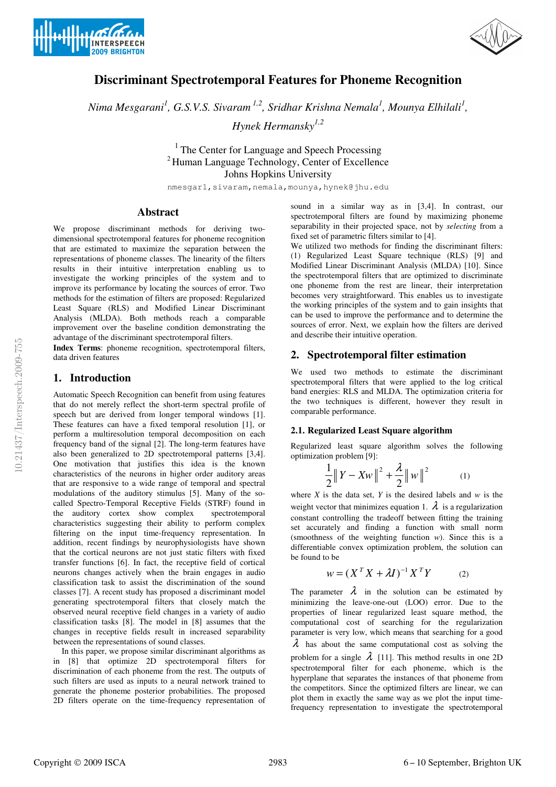



# **Discriminant Spectrotemporal Features for Phoneme Recognition**

*Nima Mesgarani<sup>1</sup> , G.S.V.S. Sivaram 1,2, Sridhar Krishna Nemala<sup>1</sup> , Mounya Elhilali<sup>1</sup> ,* 

*Hynek Hermansky1,2* 

 $<sup>1</sup>$  The Center for Language and Speech Processing</sup> <sup>2</sup> Human Language Technology, Center of Excellence Johns Hopkins University

nmesgar1,sivaram,nemala,mounya,hynek@jhu.edu

### **Abstract**

We propose discriminant methods for deriving twodimensional spectrotemporal features for phoneme recognition that are estimated to maximize the separation between the representations of phoneme classes. The linearity of the filters results in their intuitive interpretation enabling us to investigate the working principles of the system and to improve its performance by locating the sources of error. Two methods for the estimation of filters are proposed: Regularized Least Square (RLS) and Modified Linear Discriminant Analysis (MLDA). Both methods reach a comparable improvement over the baseline condition demonstrating the advantage of the discriminant spectrotemporal filters.

**Index Terms**: phoneme recognition, spectrotemporal filters, data driven features

### **1. Introduction**

Automatic Speech Recognition can benefit from using features that do not merely reflect the short-term spectral profile of speech but are derived from longer temporal windows [1]. These features can have a fixed temporal resolution [1], or perform a multiresolution temporal decomposition on each frequency band of the signal [2]. The long-term features have also been generalized to 2D spectrotemporal patterns [3,4]. One motivation that justifies this idea is the known characteristics of the neurons in higher order auditory areas that are responsive to a wide range of temporal and spectral modulations of the auditory stimulus [5]. Many of the socalled Spectro-Temporal Receptive Fields (STRF) found in the auditory cortex show complex spectrotemporal characteristics suggesting their ability to perform complex filtering on the input time-frequency representation. In addition, recent findings by neurophysiologists have shown that the cortical neurons are not just static filters with fixed transfer functions [6]. In fact, the receptive field of cortical neurons changes actively when the brain engages in audio classification task to assist the discrimination of the sound classes [7]. A recent study has proposed a discriminant model generating spectrotemporal filters that closely match the observed neural receptive field changes in a variety of audio classification tasks [8]. The model in [8] assumes that the changes in receptive fields result in increased separability between the representations of sound classes.

 In this paper, we propose similar discriminant algorithms as in [8] that optimize 2D spectrotemporal filters for discrimination of each phoneme from the rest. The outputs of such filters are used as inputs to a neural network trained to generate the phoneme posterior probabilities. The proposed 2D filters operate on the time-frequency representation of sound in a similar way as in [3,4]. In contrast, our spectrotemporal filters are found by maximizing phoneme separability in their projected space, not by *selecting* from a fixed set of parametric filters similar to [4].

We utilized two methods for finding the discriminant filters: (1) Regularized Least Square technique (RLS) [9] and Modified Linear Discriminant Analysis (MLDA) [10]. Since the spectrotemporal filters that are optimized to discriminate one phoneme from the rest are linear, their interpretation becomes very straightforward. This enables us to investigate the working principles of the system and to gain insights that can be used to improve the performance and to determine the sources of error. Next, we explain how the filters are derived and describe their intuitive operation.

# **2. Spectrotemporal filter estimation**

We used two methods to estimate the discriminant spectrotemporal filters that were applied to the log critical band energies: RLS and MLDA. The optimization criteria for the two techniques is different, however they result in comparable performance.

#### **2.1. Regularized Least Square algorithm**

Regularized least square algorithm solves the following optimization problem [9]:

$$
\frac{1}{2} \|Y - Xw\|^2 + \frac{\lambda}{2} \|w\|^2 \tag{1}
$$

where  $X$  is the data set,  $Y$  is the desired labels and  $w$  is the weight vector that minimizes equation 1.  $\lambda$  is a regularization constant controlling the tradeoff between fitting the training set accurately and finding a function with small norm (smoothness of the weighting function *w*). Since this is a differentiable convex optimization problem, the solution can be found to be

$$
w = (X^T X + \lambda I)^{-1} X^T Y \tag{2}
$$

The parameter  $\lambda$  in the solution can be estimated by minimizing the leave-one-out (LOO) error. Due to the properties of linear regularized least square method, the computational cost of searching for the regularization parameter is very low, which means that searching for a good  $\lambda$  has about the same computational cost as solving the problem for a single  $\lambda$  [11]. This method results in one 2D spectrotemporal filter for each phoneme, which is the hyperplane that separates the instances of that phoneme from the competitors. Since the optimized filters are linear, we can plot them in exactly the same way as we plot the input timefrequency representation to investigate the spectrotemporal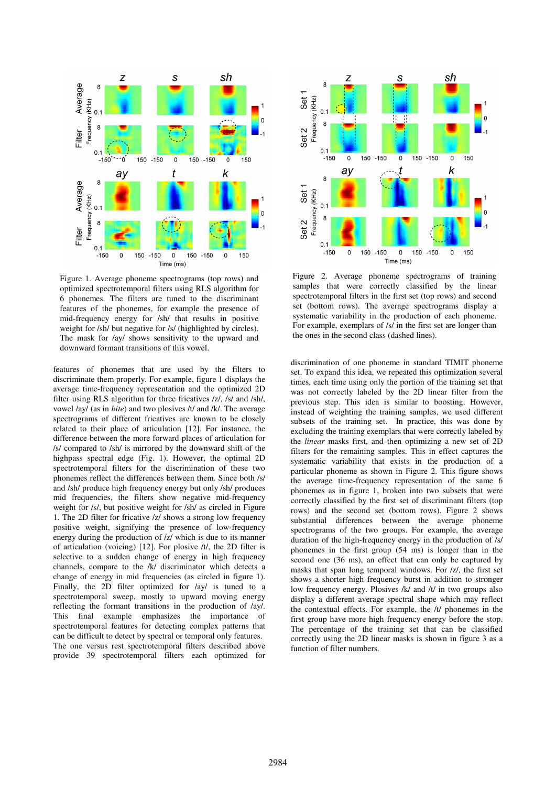

Figure 1. Average phoneme spectrograms (top rows) and optimized spectrotemporal filters using RLS algorithm for 6 phonemes. The filters are tuned to the discriminant features of the phonemes, for example the presence of mid-frequency energy for /sh/ that results in positive weight for /sh/ but negative for /s/ (highlighted by circles). The mask for /ay/ shows sensitivity to the upward and downward formant transitions of this vowel.

features of phonemes that are used by the filters to discriminate them properly. For example, figure 1 displays the average time-frequency representation and the optimized 2D filter using RLS algorithm for three fricatives /z/, /s/ and /sh/, vowel /ay/ (as in *bite*) and two plosives /t/ and /k/. The average spectrograms of different fricatives are known to be closely related to their place of articulation [12]. For instance, the difference between the more forward places of articulation for /s/ compared to /sh/ is mirrored by the downward shift of the highpass spectral edge (Fig. 1). However, the optimal 2D spectrotemporal filters for the discrimination of these two phonemes reflect the differences between them. Since both /s/ and /sh/ produce high frequency energy but only /sh/ produces mid frequencies, the filters show negative mid-frequency weight for /s/, but positive weight for /sh/ as circled in Figure 1. The 2D filter for fricative /z/ shows a strong low frequency positive weight, signifying the presence of low-frequency energy during the production of /z/ which is due to its manner of articulation (voicing) [12]. For plosive /t/, the 2D filter is selective to a sudden change of energy in high frequency channels, compare to the /k/ discriminator which detects a change of energy in mid frequencies (as circled in figure 1). Finally, the 2D filter optimized for /ay/ is tuned to a spectrotemporal sweep, mostly to upward moving energy reflecting the formant transitions in the production of /ay/. This final example emphasizes the importance of spectrotemporal features for detecting complex patterns that can be difficult to detect by spectral or temporal only features. The one versus rest spectrotemporal filters described above provide 39 spectrotemporal filters each optimized for



Figure 2. Average phoneme spectrograms of training samples that were correctly classified by the linear spectrotemporal filters in the first set (top rows) and second set (bottom rows). The average spectrograms display a systematic variability in the production of each phoneme. For example, exemplars of /s/ in the first set are longer than the ones in the second class (dashed lines).

discrimination of one phoneme in standard TIMIT phoneme set. To expand this idea, we repeated this optimization several times, each time using only the portion of the training set that was not correctly labeled by the 2D linear filter from the previous step. This idea is similar to boosting. However, instead of weighting the training samples, we used different subsets of the training set. In practice, this was done by excluding the training exemplars that were correctly labeled by the *linear* masks first, and then optimizing a new set of 2D filters for the remaining samples. This in effect captures the systematic variability that exists in the production of a particular phoneme as shown in Figure 2. This figure shows the average time-frequency representation of the same 6 phonemes as in figure 1, broken into two subsets that were correctly classified by the first set of discriminant filters (top rows) and the second set (bottom rows). Figure 2 shows substantial differences between the average phoneme spectrograms of the two groups. For example, the average duration of the high-frequency energy in the production of /s/ phonemes in the first group (54 ms) is longer than in the second one (36 ms), an effect that can only be captured by masks that span long temporal windows. For /z/, the first set shows a shorter high frequency burst in addition to stronger low frequency energy. Plosives /k/ and /t/ in two groups also display a different average spectral shape which may reflect the contextual effects. For example, the /t/ phonemes in the first group have more high frequency energy before the stop. The percentage of the training set that can be classified correctly using the 2D linear masks is shown in figure 3 as a function of filter numbers.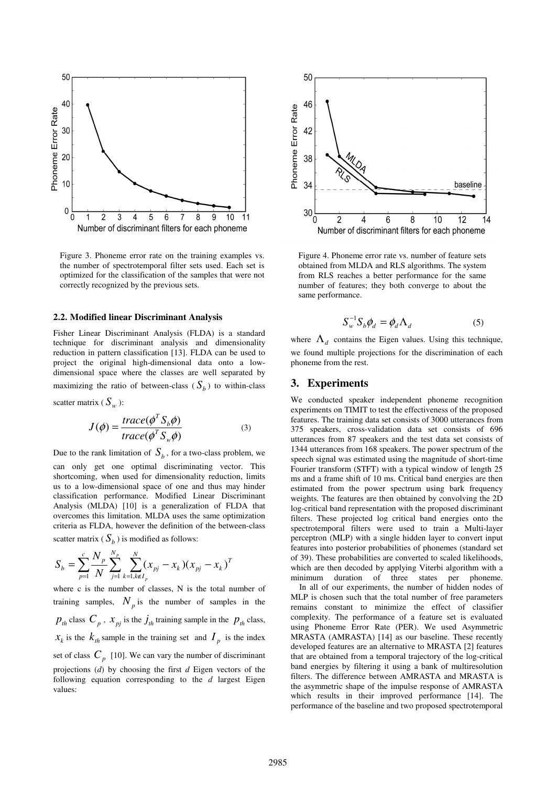

Figure 3. Phoneme error rate on the training examples vs. the number of spectrotemporal filter sets used. Each set is optimized for the classification of the samples that were not correctly recognized by the previous sets.

#### **2.2. Modified linear Discriminant Analysis**

Fisher Linear Discriminant Analysis (FLDA) is a standard technique for discriminant analysis and dimensionality reduction in pattern classification [13]. FLDA can be used to project the original high-dimensional data onto a lowdimensional space where the classes are well separated by maximizing the ratio of between-class  $(S_b)$  to within-class

scatter matrix ( $S_w$ ):

$$
J(\phi) = \frac{trace(\phi^T S_b \phi)}{trace(\phi^T S_w \phi)}
$$
(3)

Due to the rank limitation of  $S_b$ , for a two-class problem, we

can only get one optimal discriminating vector. This shortcoming, when used for dimensionality reduction, limits us to a low-dimensional space of one and thus may hinder classification performance. Modified Linear Discriminant Analysis (MLDA) [10] is a generalization of FLDA that overcomes this limitation. MLDA uses the same optimization criteria as FLDA, however the definition of the between-class scatter matrix ( $S_b$ ) is modified as follows:

$$
S_b = \sum_{p=1}^{c} \frac{N_p}{N} \sum_{j=1}^{N_p} \sum_{k=1, k \notin I_p}^{N} (x_{pj} - x_k)(x_{pj} - x_k)^T
$$

where c is the number of classes. N is the total number of training samples,  $N_p$  is the number of samples in the  $p_{th}$  class  $C_p$ ,  $x_{pj}$  is the  $j_{th}$  training sample in the  $p_{th}$  class,  $x_k$  is the  $k_{th}$  sample in the training set and  $I_p$  is the index set of class  $C_p$  [10]. We can vary the number of discriminant projections (*d*) by choosing the first *d* Eigen vectors of the following equation corresponding to the *d* largest Eigen values:



Figure 4. Phoneme error rate vs. number of feature sets obtained from MLDA and RLS algorithms. The system from RLS reaches a better performance for the same number of features; they both converge to about the same performance.

$$
S_w^{-1} S_b \phi_d = \phi_d \Lambda_d \tag{5}
$$

where  $\Lambda_d$  contains the Eigen values. Using this technique, we found multiple projections for the discrimination of each phoneme from the rest.

# **3. Experiments**

We conducted speaker independent phoneme recognition experiments on TIMIT to test the effectiveness of the proposed features. The training data set consists of 3000 utterances from 375 speakers, cross-validation data set consists of 696 utterances from 87 speakers and the test data set consists of 1344 utterances from 168 speakers. The power spectrum of the speech signal was estimated using the magnitude of short-time Fourier transform (STFT) with a typical window of length 25 ms and a frame shift of 10 ms. Critical band energies are then estimated from the power spectrum using bark frequency weights. The features are then obtained by convolving the 2D log-critical band representation with the proposed discriminant filters. These projected log critical band energies onto the spectrotemporal filters were used to train a Multi-layer perceptron (MLP) with a single hidden layer to convert input features into posterior probabilities of phonemes (standard set of 39). These probabilities are converted to scaled likelihoods, which are then decoded by applying Viterbi algorithm with a minimum duration of three states per phoneme.

 In all of our experiments, the number of hidden nodes of MLP is chosen such that the total number of free parameters remains constant to minimize the effect of classifier complexity. The performance of a feature set is evaluated using Phoneme Error Rate (PER). We used Asymmetric MRASTA (AMRASTA) [14] as our baseline. These recently developed features are an alternative to MRASTA [2] features that are obtained from a temporal trajectory of the log-critical band energies by filtering it using a bank of multiresolution filters. The difference between AMRASTA and MRASTA is the asymmetric shape of the impulse response of AMRASTA which results in their improved performance [14]. The performance of the baseline and two proposed spectrotemporal